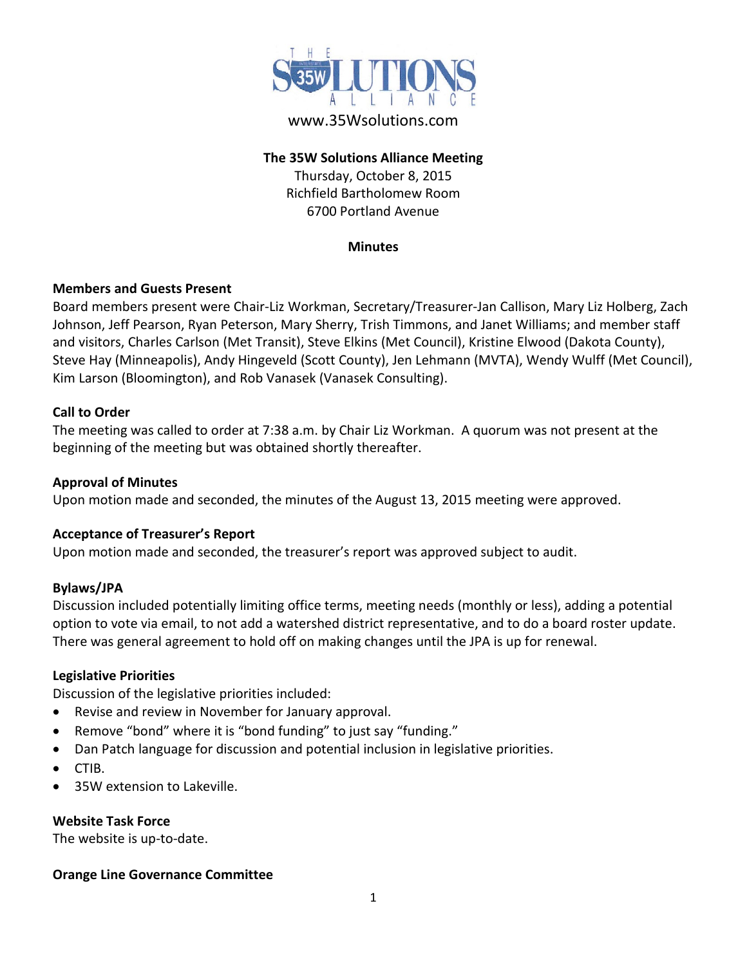

# www.35Wsolutions.com

# **The 35W Solutions Alliance Meeting**

Thursday, October 8, 2015 Richfield Bartholomew Room 6700 Portland Avenue

#### **Minutes**

# **Members and Guests Present**

Board members present were Chair-Liz Workman, Secretary/Treasurer-Jan Callison, Mary Liz Holberg, Zach Johnson, Jeff Pearson, Ryan Peterson, Mary Sherry, Trish Timmons, and Janet Williams; and member staff and visitors, Charles Carlson (Met Transit), Steve Elkins (Met Council), Kristine Elwood (Dakota County), Steve Hay (Minneapolis), Andy Hingeveld (Scott County), Jen Lehmann (MVTA), Wendy Wulff (Met Council), Kim Larson (Bloomington), and Rob Vanasek (Vanasek Consulting).

# **Call to Order**

The meeting was called to order at 7:38 a.m. by Chair Liz Workman. A quorum was not present at the beginning of the meeting but was obtained shortly thereafter.

#### **Approval of Minutes**

Upon motion made and seconded, the minutes of the August 13, 2015 meeting were approved.

# **Acceptance of Treasurer's Report**

Upon motion made and seconded, the treasurer's report was approved subject to audit.

#### **Bylaws/JPA**

Discussion included potentially limiting office terms, meeting needs (monthly or less), adding a potential option to vote via email, to not add a watershed district representative, and to do a board roster update. There was general agreement to hold off on making changes until the JPA is up for renewal.

#### **Legislative Priorities**

Discussion of the legislative priorities included:

- Revise and review in November for January approval.
- Remove "bond" where it is "bond funding" to just say "funding."
- Dan Patch language for discussion and potential inclusion in legislative priorities.
- CTIB.
- 35W extension to Lakeville.

#### **Website Task Force**

The website is up-to-date.

# **Orange Line Governance Committee**